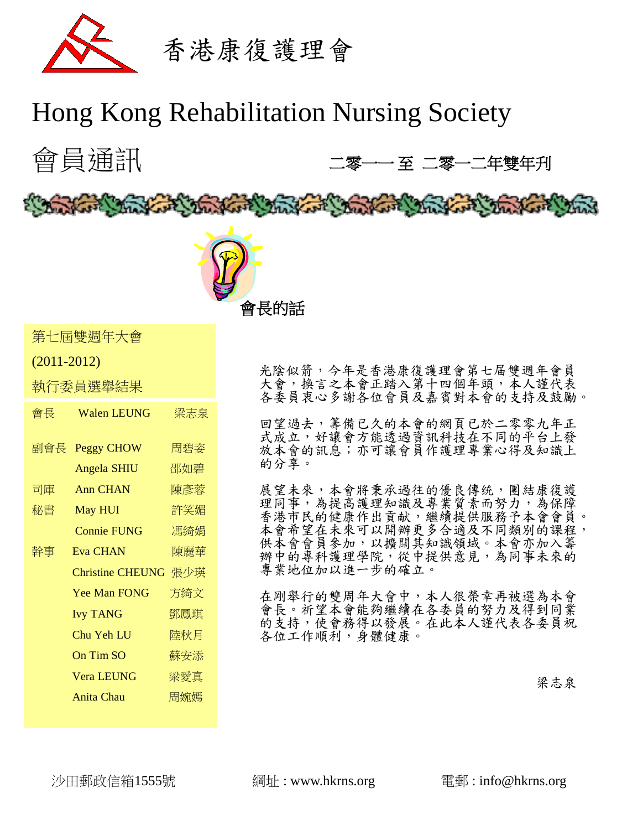

# Hong Kong Rehabilitation Nursing Society



光陰似箭,今年是香港康復護理會第七届雙週年會員 大會,換言之本會正踏入第十四個年頭,本人謹代表 各委員衷心多謝各位會員及嘉賓對本會的支持及鼓勵。

回望過去,籌備已久的本會的網頁已於二零零九年正 式成立,好讓會方能透過資訊科技在不同的平台上發 放本會的訊息;亦可讓會員作護理專業心得及知識上 的分享。

展望未來,本會將秉承過往的優良傳统,團結康復護 理同事,為提高護理知識及專業質素而努力,為保障 香港市民的健康作出貢献,繼續提供服務予本會會員。 本會希望在未來可以開辦更多合適及不同類別的課程, 供本會會員參加,以擴闊其知識領域。本會亦加入籌 辦中的專科護理學院,從中提供意見,為同事未來的 專業地位加以進一步的確立。

在剛舉行的雙周年大會中,本人很榮幸再被選為本會 會長。祈望本會能夠繼續在各委員的努力及得到同業 的支持,使會務得以發展。在此本人謹代表各委員祝 各位工作順利,身體健康。

梁志泉

會長 Walen LEUNG 梁志泉

第七屆雙週年大會

執行委員選舉結果

(2011-2012)

副會長 Peggy CHOW 周碧姿

司庫 Ann CHAN 陳彥蓉 秘書 May HUI 許笑媚

幹事 Eva CHAN 陳麗華

Angela SHIU 邵如碧

**Connie FUNG** 馮綺娟

 Christine CHEUNG 張少瑛 Yee Man FONG 方綺文 Ivy TANG 鄧鳳琪 Chu Yeh LU 陸秋月 On Tim SO 蘇安添 Vera LEUNG 梁愛真 Anita Chau 周婉嫣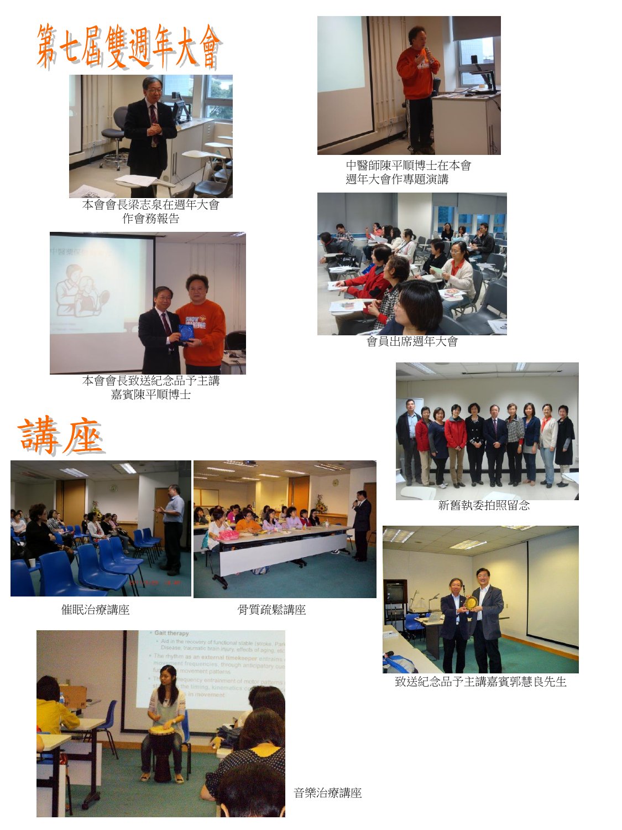



本會會長梁志泉在週年大會 作會務報告



本會會長致送紀念品予主講 嘉賓陳平順博士







催眠治療講座 有时期 计二十二 骨質疏鬆講座





中醫師陳平順博士在本會 週年大會作專題演講



會員出席週年大會



新舊執委拍照留念



致送紀念品予主講嘉賓郭慧良先生

音樂治療講座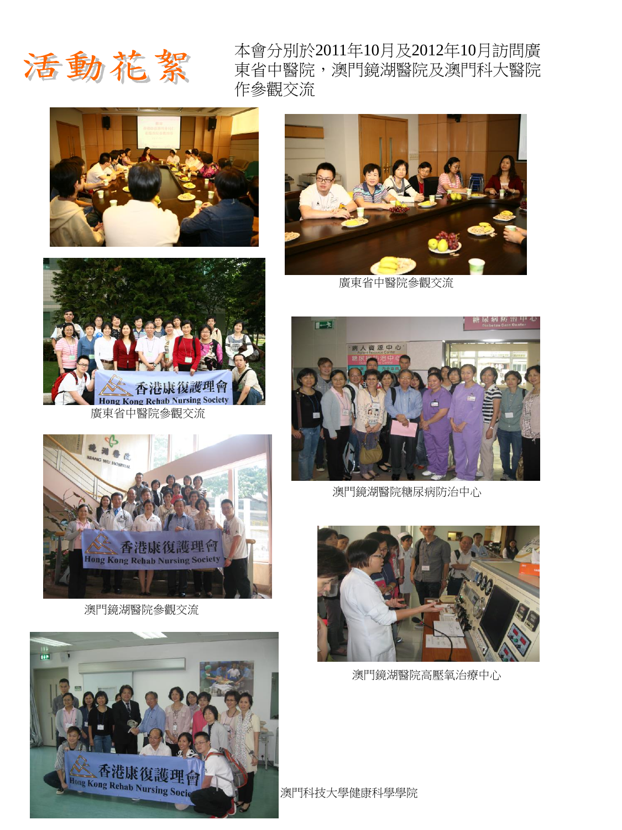

本會分別於2011年10月及2012年10月訪問廣 東省中醫院,澳門鏡湖醫院及澳門科大醫院 作參觀交流





廣東省中醫院參觀交流



澳門鏡湖醫院參觀交流





廣東省中醫院參觀交流



澳門鏡湖醫院糖尿病防治中心



澳門鏡湖醫院高壓氧治療中心

澳門科技大學健康科學學院